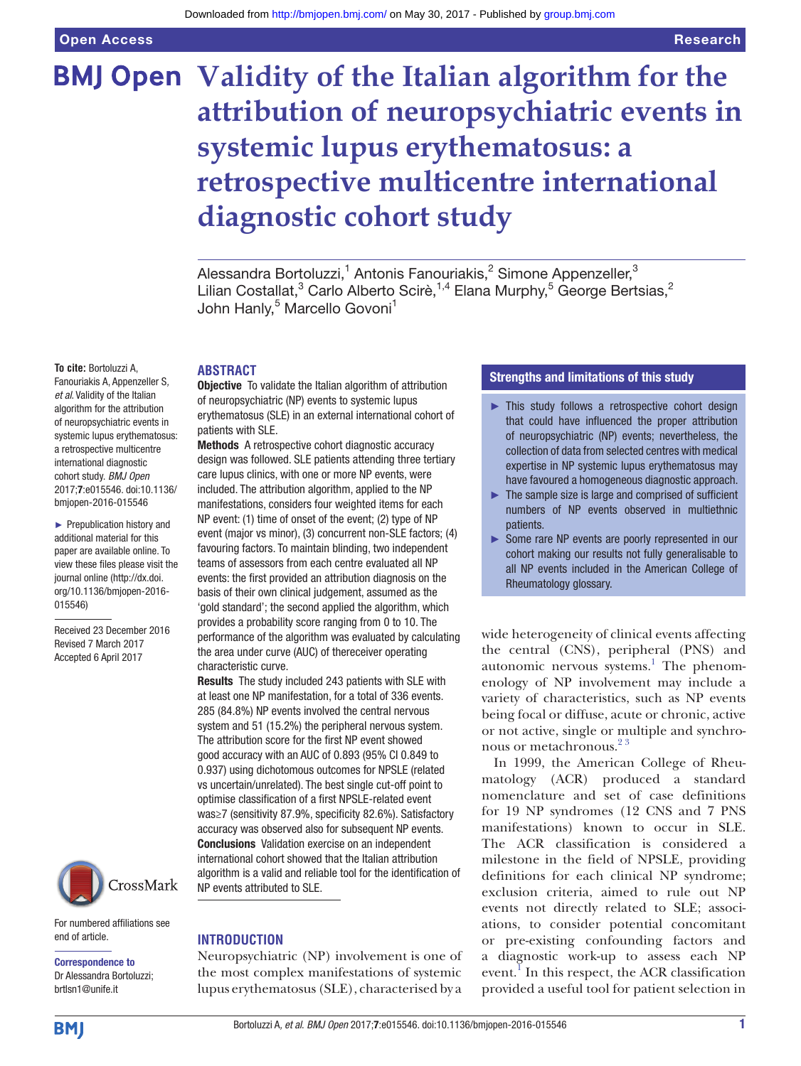Open Access

# **BMJ Open Validity of the Italian algorithm for the attribution of neuropsychiatric events in systemic lupus erythematosus: a retrospective multicentre international diagnostic cohort study**

Alessandra Bortoluzzi,<sup>1</sup> Antonis Fanouriakis,<sup>2</sup> Simone Appenzeller,<sup>3</sup> Lilian Costallat, $^3$  Carlo Alberto Scirè, $^{1,4}$  Elana Murphy, $^5$  George Bertsias, $^2$ John Hanly,<sup>5</sup> Marcello Govoni<sup>1</sup>

**To cite:** Bortoluzzi A, Fanouriakis A, Appenzeller S*, et al*. Validity of the Italian algorithm for the attribution of neuropsychiatric events in systemic lupus erythematosus: a retrospective multicentre international diagnostic cohort study. *BMJ Open* 2017;7:e015546. doi:10.1136/ bmjopen-2016-015546

► Prepublication history and additional material for this paper are available online. To view these files please visit the journal online [\(http://dx.doi.](http://dx.doi.org/10.1136/bmjopen-2016-015546) [org/10.1136/bmjopen-2016-](http://dx.doi.org/10.1136/bmjopen-2016-015546) [015546\)](http://dx.doi.org/10.1136/bmjopen-2016-015546)

Received 23 December 2016 Revised 7 March 2017 Accepted 6 April 2017



For numbered affiliations see end of article.

Correspondence to Dr Alessandra Bortoluzzi; brtlsn1@unife.it

### **Abstract**

Objective To validate the Italian algorithm of attribution of neuropsychiatric (NP) events to systemic lupus erythematosus (SLE) in an external international cohort of patients with SLE.

Methods A retrospective cohort diagnostic accuracy design was followed. SLE patients attending three tertiary care lupus clinics, with one or more NP events, were included. The attribution algorithm, applied to the NP manifestations, considers four weighted items for each NP event: (1) time of onset of the event; (2) type of NP event (major vs minor), (3) concurrent non-SLE factors; (4) favouring factors. To maintain blinding, two independent teams of assessors from each centre evaluated all NP events: the first provided an attribution diagnosis on the basis of their own clinical judgement, assumed as the 'gold standard'; the second applied the algorithm, which provides a probability score ranging from 0 to 10. The performance of the algorithm was evaluated by calculating the area under curve (AUC) of thereceiver operating characteristic curve.

Results The study included 243 patients with SLE with at least one NP manifestation, for a total of 336 events. 285 (84.8%) NP events involved the central nervous system and 51 (15.2%) the peripheral nervous system. The attribution score for the first NP event showed good accuracy with an AUC of 0.893 (95% CI 0.849 to 0.937) using dichotomous outcomes for NPSLE (related vs uncertain/unrelated). The best single cut-off point to optimise classification of a first NPSLE-related event was≥7 (sensitivity 87.9%, specificity 82.6%). Satisfactory accuracy was observed also for subsequent NP events. Conclusions Validation exercise on an independent international cohort showed that the Italian attribution algorithm is a valid and reliable tool for the identification of NP events attributed to SLE.

## **INTRODUCTION**

Neuropsychiatric (NP) involvement is one of the most complex manifestations of systemic lupus erythematosus (SLE), characterised by a

## Strengths and limitations of this study

- ► This study follows a retrospective cohort design that could have influenced the proper attribution of neuropsychiatric (NP) events; nevertheless, the collection of data from selected centres with medical expertise in NP systemic lupus erythematosus may have favoured a homogeneous diagnostic approach.
- ► The sample size is large and comprised of sufficient numbers of NP events observed in multiethnic patients.
- Some rare NP events are poorly represented in our cohort making our results not fully generalisable to all NP events included in the American College of Rheumatology glossary.

wide heterogeneity of clinical events affecting the central (CNS), peripheral (PNS) and autonomic nervous systems.<sup>1</sup> The phenomenology of NP involvement may include a variety of characteristics, such as NP events being focal or diffuse, acute or chronic, active or not active, single or multiple and synchronous or metachronous.<sup>23</sup>

In 1999, the American College of Rheumatology (ACR) produced a standard nomenclature and set of case definitions for 19 NP syndromes (12 CNS and 7 PNS manifestations) known to occur in SLE. The ACR classification is considered a milestone in the field of NPSLE, providing definitions for each clinical NP syndrome; exclusion criteria, aimed to rule out NP events not directly related to SLE; associations, to consider potential concomitant or pre-existing confounding factors and a diagnostic work-up to assess each NP event.<sup>[1](#page-6-0)</sup> In this respect, the ACR classification provided a useful tool for patient selection in

**BMI**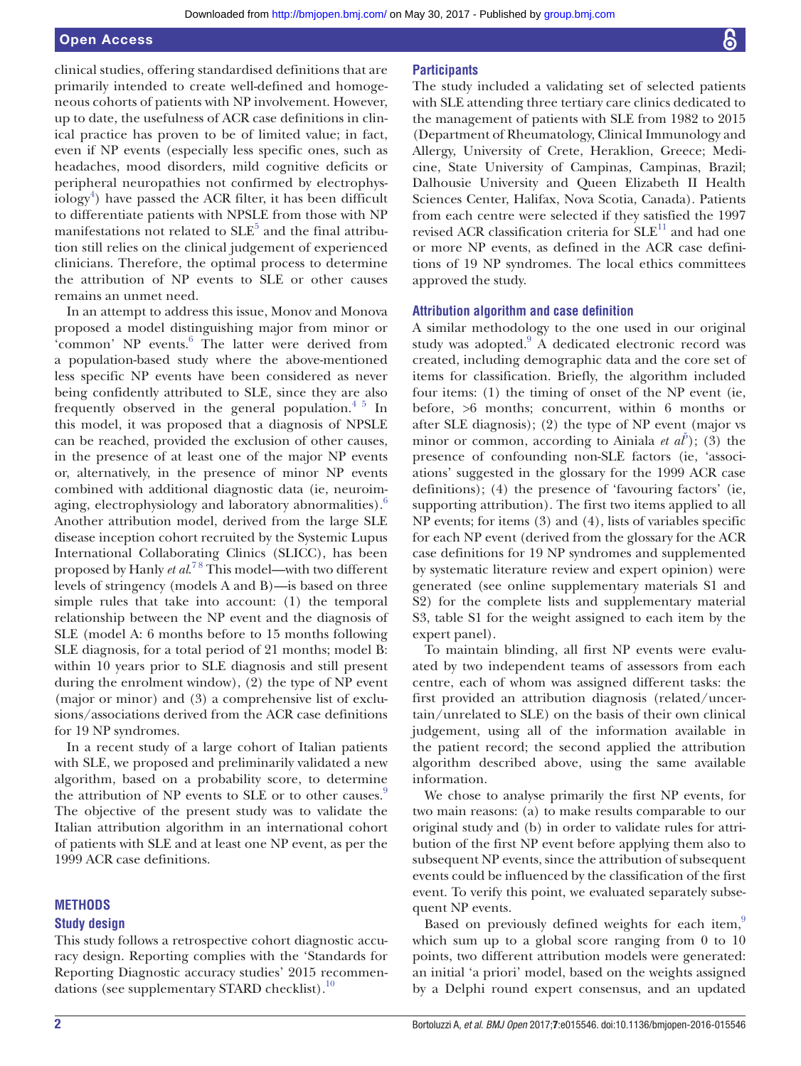clinical studies, offering standardised definitions that are primarily intended to create well-defined and homogeneous cohorts of patients with NP involvement. However, up to date, the usefulness of ACR case definitions in clinical practice has proven to be of limited value; in fact, even if NP events (especially less specific ones, such as headaches, mood disorders, mild cognitive deficits or peripheral neuropathies not confirmed by electrophys- $\frac{1}{10}$  have passed the ACR filter, it has been difficult to differentiate patients with NPSLE from those with NP manifestations not related to  $SLE^5$  $SLE^5$  and the final attribution still relies on the clinical judgement of experienced clinicians. Therefore, the optimal process to determine the attribution of NP events to SLE or other causes remains an unmet need.

In an attempt to address this issue, Monov and Monova proposed a model distinguishing major from minor or 'common' NP events.<sup>[6](#page-6-4)</sup> The latter were derived from a population-based study where the above-mentioned less specific NP events have been considered as never being confidently attributed to SLE, since they are also frequently observed in the general population. $45$  In this model, it was proposed that a diagnosis of NPSLE can be reached, provided the exclusion of other causes, in the presence of at least one of the major NP events or, alternatively, in the presence of minor NP events combined with additional diagnostic data (ie, neuroim-aging, electrophysiology and laboratory abnormalities).<sup>[6](#page-6-4)</sup> Another attribution model, derived from the large SLE disease inception cohort recruited by the Systemic Lupus International Collaborating Clinics (SLICC), has been proposed by Hanly *et al.*<sup>78</sup> This model—with two different levels of stringency (models A and B)—is based on three simple rules that take into account: (1) the temporal relationship between the NP event and the diagnosis of SLE (model A: 6 months before to 15 months following SLE diagnosis, for a total period of 21 months; model B: within 10 years prior to SLE diagnosis and still present during the enrolment window), (2) the type of NP event (major or minor) and (3) a comprehensive list of exclusions/associations derived from the ACR case definitions for 19 NP syndromes.

In a recent study of a large cohort of Italian patients with SLE, we proposed and preliminarily validated a new algorithm, based on a probability score, to determine the attribution of NP events to SLE or to other causes.<sup>[9](#page-6-6)</sup> The objective of the present study was to validate the Italian attribution algorithm in an international cohort of patients with SLE and at least one NP event, as per the 1999 ACR case definitions.

#### **METHODS**

#### **Study design**

This study follows a retrospective cohort diagnostic accuracy design. Reporting complies with the 'Standards for Reporting Diagnostic accuracy studies' 2015 recommendations (see supplementary STARD checklist). $10$ 

The study included a validating set of selected patients with SLE attending three tertiary care clinics dedicated to the management of patients with SLE from 1982 to 2015 (Department of Rheumatology, Clinical Immunology and Allergy, University of Crete, Heraklion, Greece; Medicine, State University of Campinas, Campinas, Brazil; Dalhousie University and Queen Elizabeth II Health Sciences Center, Halifax, Nova Scotia, Canada). Patients from each centre were selected if they satisfied the 1997 revised ACR classification criteria for  $SLE<sup>11</sup>$  and had one or more NP events, as defined in the ACR case definitions of 19 NP syndromes. The local ethics committees approved the study.

#### **Attribution algorithm and case definition**

A similar methodology to the one used in our original study was adopted.<sup>[9](#page-6-6)</sup> A dedicated electronic record was created, including demographic data and the core set of items for classification. Briefly, the algorithm included four items: (1) the timing of onset of the NP event (ie, before, >6 months; concurrent, within 6 months or after SLE diagnosis); (2) the type of NP event (major vs minor or common, according to Ainiala *et al*<sup> $\delta$ </sup>); (3) the presence of confounding non-SLE factors (ie, 'associations' suggested in the glossary for the 1999 ACR case definitions); (4) the presence of 'favouring factors' (ie, supporting attribution). The first two items applied to all NP events; for items (3) and (4), lists of variables specific for each NP event (derived from the glossary for the ACR case definitions for 19 NP syndromes and supplemented by systematic literature review and expert opinion) were generated (see online supplementary materials S1 and S2) for the complete lists and supplementary material S3, table S1 for the weight assigned to each item by the expert panel).

To maintain blinding, all first NP events were evaluated by two independent teams of assessors from each centre, each of whom was assigned different tasks: the first provided an attribution diagnosis (related/uncertain/unrelated to SLE) on the basis of their own clinical judgement, using all of the information available in the patient record; the second applied the attribution algorithm described above, using the same available information.

We chose to analyse primarily the first NP events, for two main reasons: (a) to make results comparable to our original study and (b) in order to validate rules for attribution of the first NP event before applying them also to subsequent NP events, since the attribution of subsequent events could be influenced by the classification of the first event. To verify this point, we evaluated separately subsequent NP events.

Based on previously defined weights for each item, $9$ which sum up to a global score ranging from 0 to 10 points, two different attribution models were generated: an initial 'a priori' model, based on the weights assigned by a Delphi round expert consensus, and an updated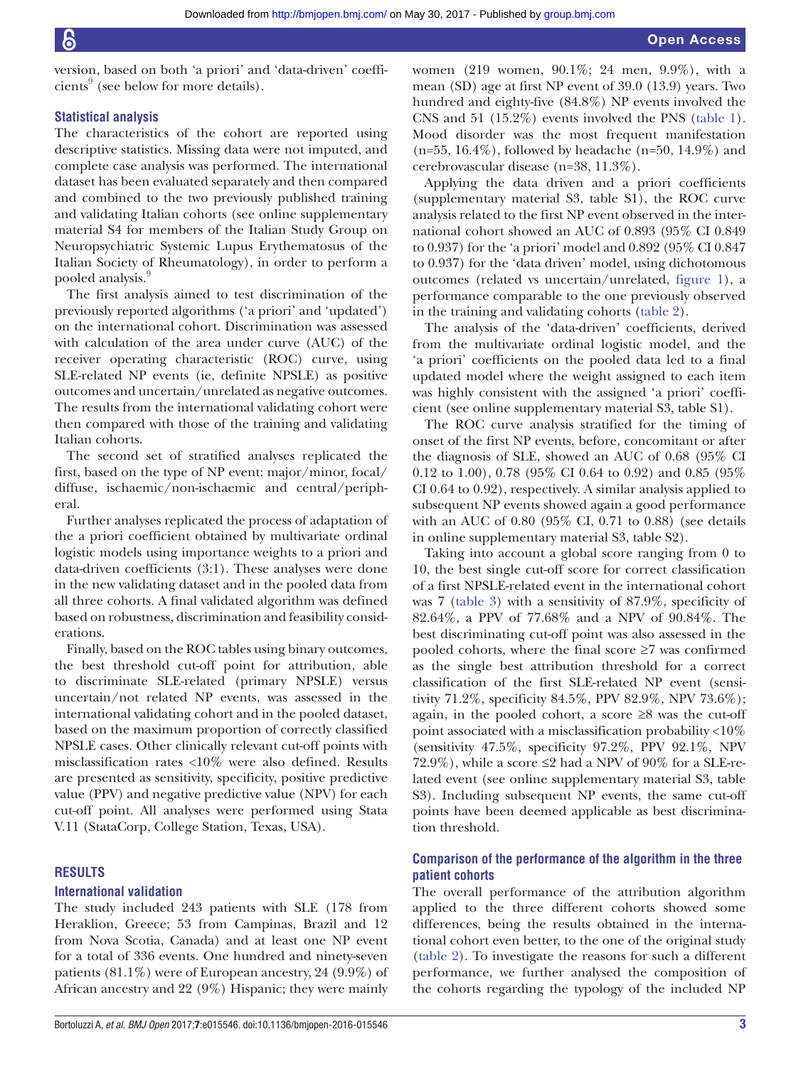version, based on both 'a priori' and 'data-driven' coeffi-cients<sup>[9](#page-6-6)</sup> (see below for more details).

### **Statistical analysis**

The characteristics of the cohort are reported using descriptive statistics. Missing data were not imputed, and complete case analysis was performed. The international dataset has been evaluated separately and then compared and combined to the two previously published training and validating Italian cohorts (see online supplementary material S4 for members of the Italian Study Group on Neuropsychiatric Systemic Lupus Erythematosus of the Italian Society of Rheumatology), in order to perform a pooled analysis.<sup>[9](#page-6-6)</sup>

The first analysis aimed to test discrimination of the previously reported algorithms ('a priori' and 'updated') on the international cohort. Discrimination was assessed with calculation of the area under curve (AUC) of the receiver operating characteristic (ROC) curve, using SLE-related NP events (ie, definite NPSLE) as positive outcomes and uncertain/unrelated as negative outcomes. The results from the international validating cohort were then compared with those of the training and validating Italian cohorts.

The second set of stratified analyses replicated the first, based on the type of NP event: major/minor, focal/ diffuse, ischaemic/non-ischaemic and central/peripheral.

Further analyses replicated the process of adaptation of the a priori coefficient obtained by multivariate ordinal logistic models using importance weights to a priori and data-driven coefficients (3:1). These analyses were done in the new validating dataset and in the pooled data from all three cohorts. A final validated algorithm was defined based on robustness, discrimination and feasibility considerations.

Finally, based on the ROC tables using binary outcomes, the best threshold cut-off point for attribution, able to discriminate SLE-related (primary NPSLE) versus uncertain/not related NP events, was assessed in the international validating cohort and in the pooled dataset, based on the maximum proportion of correctly classified NPSLE cases. Other clinically relevant cut-off points with misclassification rates <10% were also defined. Results are presented as sensitivity, specificity, positive predictive value (PPV) and negative predictive value (NPV) for each cut-off point. All analyses were performed using Stata V.11 (StataCorp, College Station, Texas, USA).

## **RESULTS**

### **International validation**

The study included 243 patients with SLE (178 from Heraklion, Greece; 53 from Campinas, Brazil and 12 from Nova Scotia, Canada) and at least one NP event for a total of 336 events. One hundred and ninety-seven patients (81.1%) were of European ancestry, 24 (9.9%) of African ancestry and 22 (9%) Hispanic; they were mainly

women (219 women, 90.1%; 24 men, 9.9%), with a mean (SD) age at first NP event of 39.0 (13.9) years. Two hundred and eighty-five (84.8%) NP events involved the CNS and 51 (15.2%) events involved the PNS ([table](#page-3-0) 1). Mood disorder was the most frequent manifestation (n=55, 16.4%), followed by headache (n=50, 14.9%) and cerebrovascular disease (n=38, 11.3%).

Applying the data driven and a priori coefficients (supplementary material S3, table S1), the ROC curve analysis related to the first NP event observed in the international cohort showed an AUC of 0.893 (95% CI 0.849 to 0.937) for the 'a priori' model and 0.892 (95% CI 0.847 to 0.937) for the 'data driven' model, using dichotomous outcomes (related vs uncertain/unrelated, [figure](#page-3-1) 1), a performance comparable to the one previously observed in the training and validating cohorts [\(table](#page-4-0) 2).

The analysis of the 'data-driven' coefficients, derived from the multivariate ordinal logistic model, and the 'a priori' coefficients on the pooled data led to a final updated model where the weight assigned to each item was highly consistent with the assigned 'a priori' coefficient (see online supplementary material S3, table S1).

The ROC curve analysis stratified for the timing of onset of the first NP events, before, concomitant or after the diagnosis of SLE, showed an AUC of 0.68 (95% CI 0.12 to 1.00), 0.78 (95% CI 0.64 to 0.92) and 0.85 (95% CI 0.64 to 0.92), respectively. A similar analysis applied to subsequent NP events showed again a good performance with an AUC of 0.80 (95% CI, 0.71 to 0.88) (see details in online supplementary material S3, table S2).

Taking into account a global score ranging from 0 to 10, the best single cut-off score for correct classification of a first NPSLE-related event in the international cohort was 7 ([table](#page-4-1) 3) with a sensitivity of 87.9%, specificity of 82.64%, a PPV of 77.68% and a NPV of 90.84%. The best discriminating cut-off point was also assessed in the pooled cohorts, where the final score  $\geq 7$  was confirmed as the single best attribution threshold for a correct classification of the first SLE-related NP event (sensitivity 71.2%, specificity 84.5%, PPV 82.9%, NPV 73.6%); again, in the pooled cohort, a score  $\geq 8$  was the cut-off point associated with a misclassification probability <10% (sensitivity 47.5%, specificity 97.2%, PPV 92.1%, NPV 72.9%), while a score  $\leq$ 2 had a NPV of 90% for a SLE-related event (see online supplementary material S3, table S3). Including subsequent NP events, the same cut-off points have been deemed applicable as best discrimination threshold.

## **Comparison of the performance of the algorithm in the three patient cohorts**

The overall performance of the attribution algorithm applied to the three different cohorts showed some differences, being the results obtained in the international cohort even better, to the one of the original study [\(table](#page-4-0) 2). To investigate the reasons for such a different performance, we further analysed the composition of the cohorts regarding the typology of the included NP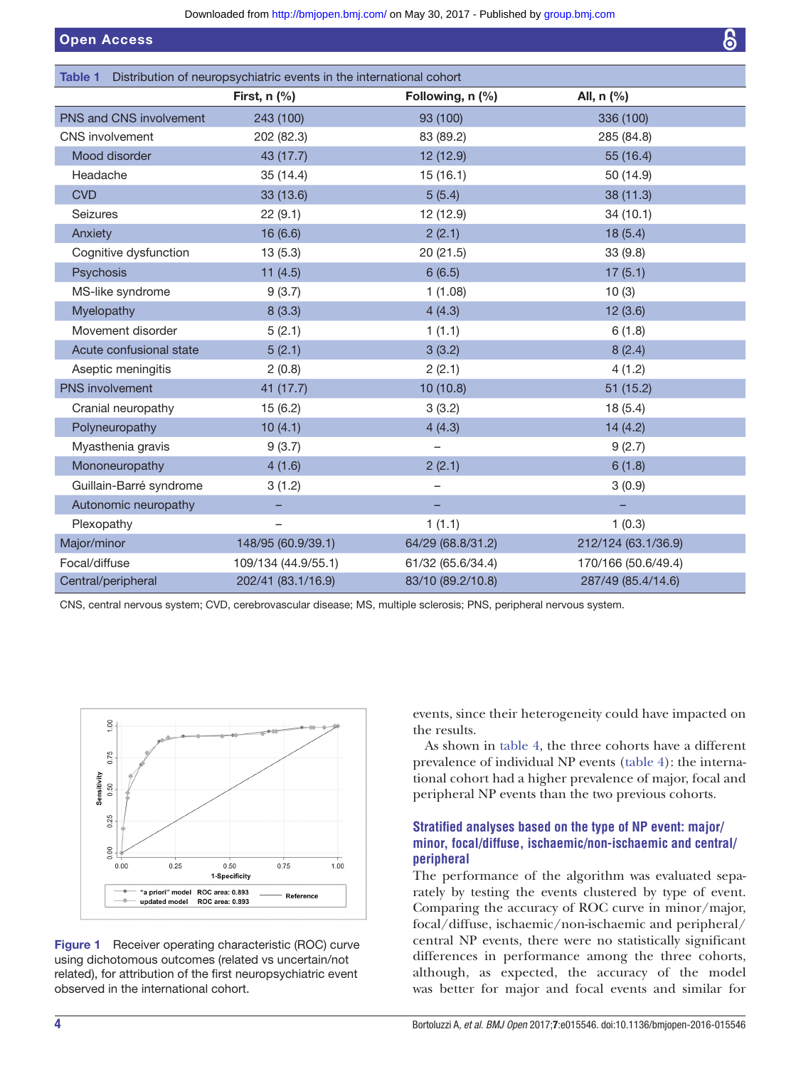Open Access

<span id="page-3-0"></span>

| Table 1 Distribution of neuropsychiatric events in the international cohort |                          |                          |                     |  |  |
|-----------------------------------------------------------------------------|--------------------------|--------------------------|---------------------|--|--|
|                                                                             | First, $n$ (%)           | Following, n (%)         | All, $n$ $%$        |  |  |
| PNS and CNS involvement                                                     | 243 (100)                | 93 (100)                 | 336 (100)           |  |  |
| <b>CNS</b> involvement                                                      | 202 (82.3)               | 83 (89.2)                | 285 (84.8)          |  |  |
| Mood disorder                                                               | 43 (17.7)                | 12(12.9)                 | 55 (16.4)           |  |  |
| Headache                                                                    | 35 (14.4)                | 15(16.1)                 | 50 (14.9)           |  |  |
| <b>CVD</b>                                                                  | 33 (13.6)                | 5(5.4)                   | 38 (11.3)           |  |  |
| Seizures                                                                    | 22(9.1)                  | 12 (12.9)                | 34(10.1)            |  |  |
| Anxiety                                                                     | 16 (6.6)                 | 2(2.1)                   | 18(5.4)             |  |  |
| Cognitive dysfunction                                                       | 13(5.3)                  | 20(21.5)                 | 33(9.8)             |  |  |
| Psychosis                                                                   | 11(4.5)                  | 6(6.5)                   | 17(5.1)             |  |  |
| MS-like syndrome                                                            | 9(3.7)                   | 1(1.08)                  | 10(3)               |  |  |
| Myelopathy                                                                  | 8(3.3)                   | 4(4.3)                   | 12(3.6)             |  |  |
| Movement disorder                                                           | 5(2.1)                   | 1(1.1)                   | 6(1.8)              |  |  |
| Acute confusional state                                                     | 5(2.1)                   | 3(3.2)                   | 8(2.4)              |  |  |
| Aseptic meningitis                                                          | 2(0.8)                   | 2(2.1)                   | 4(1.2)              |  |  |
| PNS involvement                                                             | 41(17.7)                 | 10(10.8)                 | 51(15.2)            |  |  |
| Cranial neuropathy                                                          | 15(6.2)                  | 3(3.2)                   | 18(5.4)             |  |  |
| Polyneuropathy                                                              | 10(4.1)                  | 4(4.3)                   | 14(4.2)             |  |  |
| Myasthenia gravis                                                           | 9(3.7)                   | $\equiv$                 | 9(2.7)              |  |  |
| Mononeuropathy                                                              | 4(1.6)                   | 2(2.1)                   | 6(1.8)              |  |  |
| Guillain-Barré syndrome                                                     | 3(1.2)                   | $\overline{\phantom{0}}$ | 3(0.9)              |  |  |
| Autonomic neuropathy                                                        |                          |                          |                     |  |  |
| Plexopathy                                                                  | $\overline{\phantom{0}}$ | 1(1.1)                   | 1(0.3)              |  |  |
| Major/minor                                                                 | 148/95 (60.9/39.1)       | 64/29 (68.8/31.2)        | 212/124 (63.1/36.9) |  |  |
| Focal/diffuse                                                               | 109/134 (44.9/55.1)      | 61/32 (65.6/34.4)        | 170/166 (50.6/49.4) |  |  |
| Central/peripheral                                                          | 202/41 (83.1/16.9)       | 83/10 (89.2/10.8)        | 287/49 (85.4/14.6)  |  |  |

CNS, central nervous system; CVD, cerebrovascular disease; MS, multiple sclerosis; PNS, peripheral nervous system.



<span id="page-3-1"></span>Figure 1 Receiver operating characteristic (ROC) curve using dichotomous outcomes (related vs uncertain/not related), for attribution of the first neuropsychiatric event observed in the international cohort.

events, since their heterogeneity could have impacted on the results.

As shown in [table](#page-5-0) 4, the three cohorts have a different prevalence of individual NP events ([table](#page-5-0) 4): the international cohort had a higher prevalence of major, focal and peripheral NP events than the two previous cohorts.

## **Stratified analyses based on the type of NP event: major/ minor, focal/diffuse, ischaemic/non-ischaemic and central/ peripheral**

The performance of the algorithm was evaluated separately by testing the events clustered by type of event. Comparing the accuracy of ROC curve in minor/major, focal/diffuse, ischaemic/non-ischaemic and peripheral/ central NP events, there were no statistically significant differences in performance among the three cohorts, although, as expected, the accuracy of the model was better for major and focal events and similar for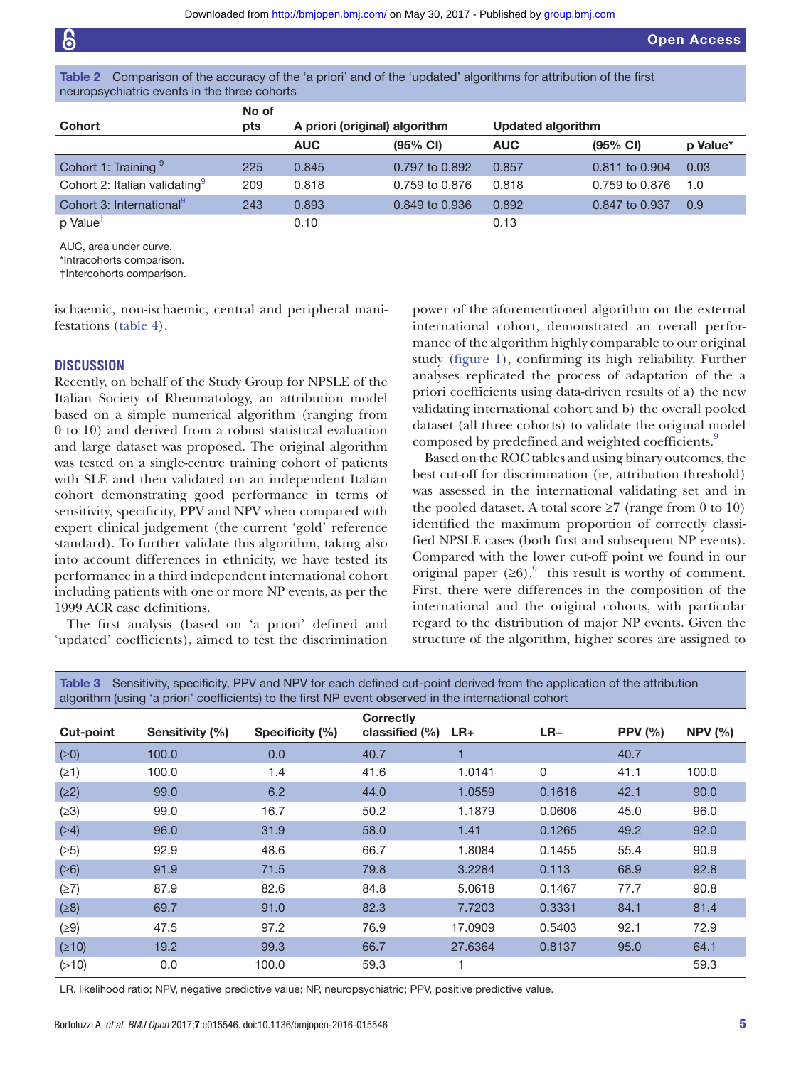Open Access

<span id="page-4-0"></span>Table 2 Comparison of the accuracy of the 'a priori' and of the 'updated' algorithms for attribution of the first neuropsychiatric events in the three cohorts

|                                           | No of |                               |                    |                   |                    |          |
|-------------------------------------------|-------|-------------------------------|--------------------|-------------------|--------------------|----------|
| <b>Cohort</b>                             | pts   | A priori (original) algorithm |                    | Updated algorithm |                    |          |
|                                           |       | <b>AUC</b>                    | $(95% \text{ Cl})$ | <b>AUC</b>        | $(95% \text{ Cl})$ | p Value* |
| Cohort 1: Training 9                      | 225   | 0.845                         | 0.797 to 0.892     | 0.857             | 0.811 to 0.904     | 0.03     |
| Cohort 2: Italian validating <sup>9</sup> | 209   | 0.818                         | 0.759 to 0.876     | 0.818             | 0.759 to 0.876     | 1.0      |
| Cohort 3: International <sup>9</sup>      | 243   | 0.893                         | 0.849 to 0.936     | 0.892             | 0.847 to 0.937     | 0.9      |
| p Value <sup>†</sup>                      |       | 0.10                          |                    | 0.13              |                    |          |

AUC, area under curve.

\*Intracohorts comparison.

†Intercohorts comparison.

ischaemic, non-ischaemic, central and peripheral manifestations [\(table](#page-5-0) 4).

#### **DISCUSSION**

Recently, on behalf of the Study Group for NPSLE of the Italian Society of Rheumatology, an attribution model based on a simple numerical algorithm (ranging from 0 to 10) and derived from a robust statistical evaluation and large dataset was proposed. The original algorithm was tested on a single-centre training cohort of patients with SLE and then validated on an independent Italian cohort demonstrating good performance in terms of sensitivity, specificity, PPV and NPV when compared with expert clinical judgement (the current 'gold' reference standard). To further validate this algorithm, taking also into account differences in ethnicity, we have tested its performance in a third independent international cohort including patients with one or more NP events, as per the 1999 ACR case definitions.

The first analysis (based on 'a priori' defined and 'updated' coefficients), aimed to test the discrimination power of the aforementioned algorithm on the external international cohort, demonstrated an overall performance of the algorithm highly comparable to our original study ([figure](#page-3-1) 1), confirming its high reliability. Further analyses replicated the process of adaptation of the a priori coefficients using data-driven results of a) the new validating international cohort and b) the overall pooled dataset (all three cohorts) to validate the original model composed by predefined and weighted coefficients.<sup>[9](#page-6-6)</sup>

Based on the ROC tables and using binary outcomes, the best cut-off for discrimination (ie, attribution threshold) was assessed in the international validating set and in the pooled dataset. A total score  $\geq 7$  (range from 0 to 10) identified the maximum proportion of correctly classified NPSLE cases (both first and subsequent NP events). Compared with the lower cut-off point we found in our original paper  $(≥6)$ ,<sup>[9](#page-6-6)</sup> this result is worthy of comment. First, there were differences in the composition of the international and the original cohorts, with particular regard to the distribution of major NP events. Given the structure of the algorithm, higher scores are assigned to

<span id="page-4-1"></span>Table 3 Sensitivity, specificity, PPV and NPV for each defined cut-point derived from the application of the attribution algorithm (using 'a priori' coefficients) to the first NP event observed in the international cohort

|            |                 |                 | <b>Correctly</b> |         |        |                |                |
|------------|-----------------|-----------------|------------------|---------|--------|----------------|----------------|
| Cut-point  | Sensitivity (%) | Specificity (%) | classified (%)   | LR+     | $LR-$  | <b>PPV</b> (%) | <b>NPV (%)</b> |
| $(\geq 0)$ | 100.0           | 0.0             | 40.7             |         |        | 40.7           |                |
| (≥1)       | 100.0           | 1.4             | 41.6             | 1.0141  | 0      | 41.1           | 100.0          |
| (≥2)       | 99.0            | 6.2             | 44.0             | 1.0559  | 0.1616 | 42.1           | 90.0           |
| (≥3)       | 99.0            | 16.7            | 50.2             | 1.1879  | 0.0606 | 45.0           | 96.0           |
| (≥4)       | 96.0            | 31.9            | 58.0             | 1.41    | 0.1265 | 49.2           | 92.0           |
| (≥5)       | 92.9            | 48.6            | 66.7             | 1.8084  | 0.1455 | 55.4           | 90.9           |
| (≥6)       | 91.9            | 71.5            | 79.8             | 3.2284  | 0.113  | 68.9           | 92.8           |
| $(\geq 7)$ | 87.9            | 82.6            | 84.8             | 5.0618  | 0.1467 | 77.7           | 90.8           |
| (≥8)       | 69.7            | 91.0            | 82.3             | 7.7203  | 0.3331 | 84.1           | 81.4           |
| (≥9)       | 47.5            | 97.2            | 76.9             | 17.0909 | 0.5403 | 92.1           | 72.9           |
| (≥10)      | 19.2            | 99.3            | 66.7             | 27.6364 | 0.8137 | 95.0           | 64.1           |
| (>10)      | 0.0             | 100.0           | 59.3             |         |        |                | 59.3           |

LR, likelihood ratio; NPV, negative predictive value; NP, neuropsychiatric; PPV, positive predictive value.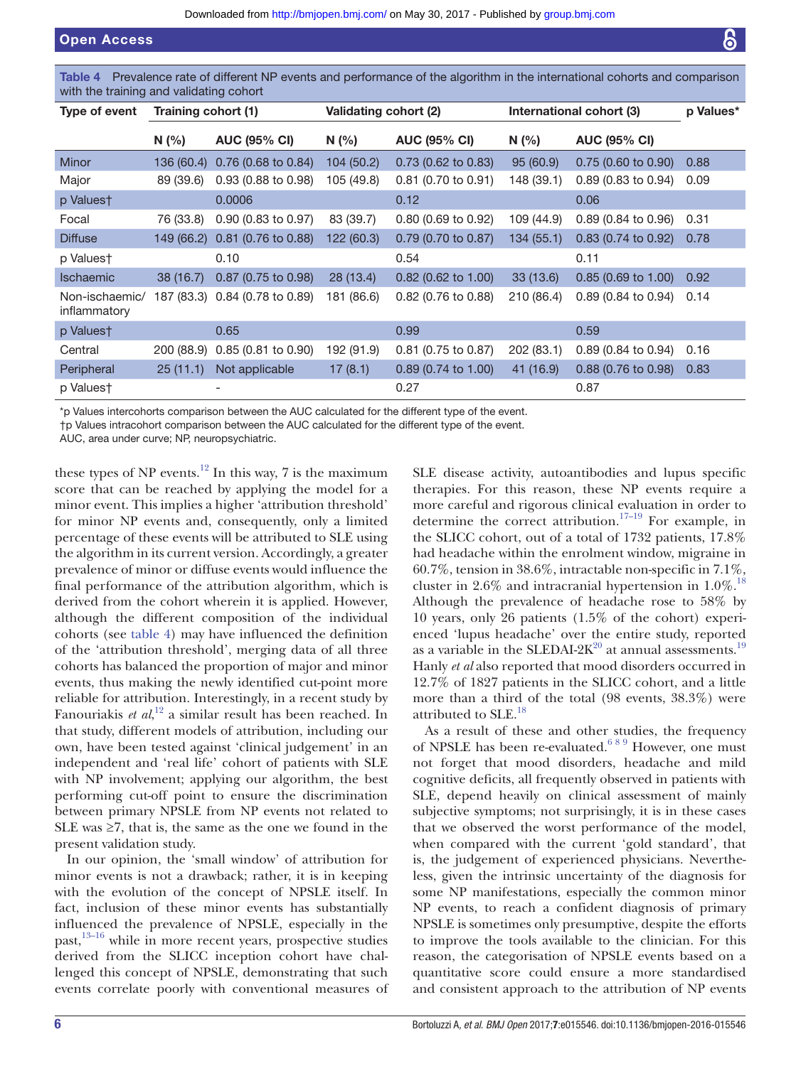<span id="page-5-0"></span>Table 4 Prevalence rate of different NP events and performance of the algorithm in the international cohorts and comparison with the training and validating cohort

| Type of event                  | Training cohort (1) |                        | Validating cohort (2) |                       | International cohort (3) |                       | p Values* |
|--------------------------------|---------------------|------------------------|-----------------------|-----------------------|--------------------------|-----------------------|-----------|
|                                | N(%                 | <b>AUC (95% CI)</b>    | N(%                   | <b>AUC (95% CI)</b>   | N(%                      | <b>AUC (95% CI)</b>   |           |
| Minor                          | 136 (60.4)          | $0.76$ (0.68 to 0.84)  | 104(50.2)             | $0.73$ (0.62 to 0.83) | 95 (60.9)                | $0.75$ (0.60 to 0.90) | 0.88      |
| Major                          | 89 (39.6)           | $0.93$ (0.88 to 0.98)  | 105 (49.8)            | 0.81 (0.70 to 0.91)   | 148 (39.1)               | 0.89 (0.83 to 0.94)   | 0.09      |
| p Valuest                      |                     | 0.0006                 |                       | 0.12                  |                          | 0.06                  |           |
| Focal                          | 76 (33.8)           | $0.90$ (0.83 to 0.97)  | 83 (39.7)             | $0.80$ (0.69 to 0.92) | 109 (44.9)               | 0.89 (0.84 to 0.96)   | 0.31      |
| <b>Diffuse</b>                 | 149 (66.2)          | $0.81$ (0.76 to 0.88)  | 122(60.3)             | 0.79 (0.70 to 0.87)   | 134 (55.1)               | $0.83$ (0.74 to 0.92) | 0.78      |
| p Valuest                      |                     | 0.10                   |                       | 0.54                  |                          | 0.11                  |           |
| Ischaemic                      | 38(16.7)            | $0.87$ (0.75 to 0.98)  | 28(13.4)              | $0.82$ (0.62 to 1.00) | 33(13.6)                 | $0.85$ (0.69 to 1.00) | 0.92      |
| Non-ischaemic/<br>inflammatory | 187 (83.3)          | 0.84 (0.78 to 0.89)    | 181 (86.6)            | 0.82 (0.76 to 0.88)   | 210 (86.4)               | 0.89 (0.84 to 0.94)   | 0.14      |
| p Valuest                      |                     | 0.65                   |                       | 0.99                  |                          | 0.59                  |           |
| Central                        | 200 (88.9)          | $0.85(0.81)$ to $0.90$ | 192 (91.9)            | 0.81 (0.75 to 0.87)   | 202 (83.1)               | 0.89 (0.84 to 0.94)   | 0.16      |
| Peripheral                     | 25(11.1)            | Not applicable         | 17(8.1)               | $0.89$ (0.74 to 1.00) | 41 (16.9)                | 0.88 (0.76 to 0.98)   | 0.83      |
| p Valuest                      |                     |                        |                       | 0.27                  |                          | 0.87                  |           |

\*p Values intercohorts comparison between the AUC calculated for the different type of the event.

†p Values intracohort comparison between the AUC calculated for the different type of the event.

AUC, area under curve; NP, neuropsychiatric.

these types of NP events.<sup>12</sup> In this way, 7 is the maximum score that can be reached by applying the model for a minor event. This implies a higher 'attribution threshold' for minor NP events and, consequently, only a limited percentage of these events will be attributed to SLE using the algorithm in its current version. Accordingly, a greater prevalence of minor or diffuse events would influence the final performance of the attribution algorithm, which is derived from the cohort wherein it is applied. However, although the different composition of the individual cohorts (see [table](#page-5-0) 4) may have influenced the definition of the 'attribution threshold', merging data of all three cohorts has balanced the proportion of major and minor events, thus making the newly identified cut-point more reliable for attribution. Interestingly, in a recent study by Fanouriakis *et al*, [12](#page-7-0) a similar result has been reached. In that study, different models of attribution, including our own, have been tested against 'clinical judgement' in an independent and 'real life' cohort of patients with SLE with NP involvement; applying our algorithm, the best performing cut-off point to ensure the discrimination between primary NPSLE from NP events not related to SLE was  $\geq 7$ , that is, the same as the one we found in the present validation study.

In our opinion, the 'small window' of attribution for minor events is not a drawback; rather, it is in keeping with the evolution of the concept of NPSLE itself. In fact, inclusion of these minor events has substantially influenced the prevalence of NPSLE, especially in the past,<sup>13-16</sup> while in more recent years, prospective studies derived from the SLICC inception cohort have challenged this concept of NPSLE, demonstrating that such events correlate poorly with conventional measures of

SLE disease activity, autoantibodies and lupus specific therapies. For this reason, these NP events require a more careful and rigorous clinical evaluation in order to determine the correct attribution.<sup>17-19</sup> For example, in the SLICC cohort, out of a total of 1732 patients, 17.8% had headache within the enrolment window, migraine in 60.7%, tension in 38.6%, intractable non-specific in 7.1%, cluster in 2.6% and intracranial hypertension in  $1.0\%$ .<sup>[18](#page-7-3)</sup> Although the prevalence of headache rose to 58% by 10 years, only 26 patients (1.5% of the cohort) experienced 'lupus headache' over the entire study, reported as a variable in the SLEDAI-2 $K^{20}$  at annual assessments.<sup>19</sup> Hanly *et al* also reported that mood disorders occurred in 12.7% of 1827 patients in the SLICC cohort, and a little more than a third of the total (98 events, 38.3%) were attributed to SLE.<sup>[18](#page-7-3)</sup>

As a result of these and other studies, the frequency of NPSLE has been re-evaluated.<sup>689</sup> However, one must not forget that mood disorders, headache and mild cognitive deficits, all frequently observed in patients with SLE, depend heavily on clinical assessment of mainly subjective symptoms; not surprisingly, it is in these cases that we observed the worst performance of the model, when compared with the current 'gold standard', that is, the judgement of experienced physicians. Nevertheless, given the intrinsic uncertainty of the diagnosis for some NP manifestations, especially the common minor NP events, to reach a confident diagnosis of primary NPSLE is sometimes only presumptive, despite the efforts to improve the tools available to the clinician. For this reason, the categorisation of NPSLE events based on a quantitative score could ensure a more standardised and consistent approach to the attribution of NP events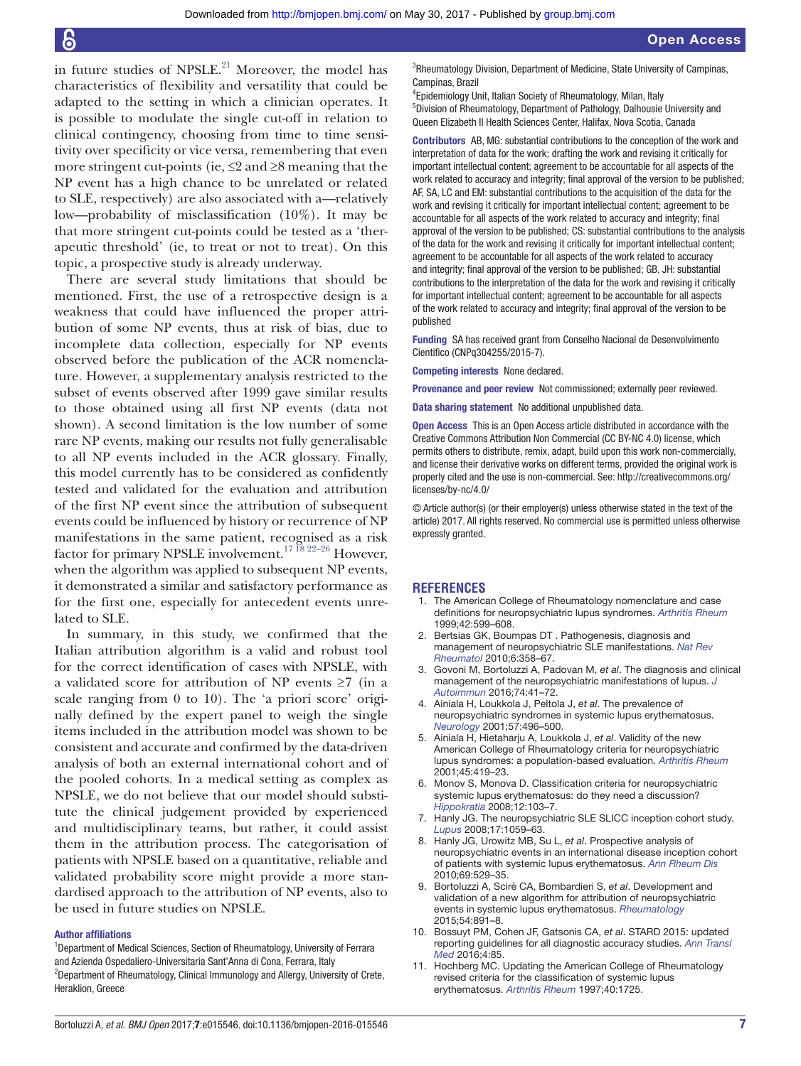in future studies of NPSLE.<sup>21</sup> Moreover, the model has characteristics of flexibility and versatility that could be adapted to the setting in which a clinician operates. It is possible to modulate the single cut-off in relation to clinical contingency, choosing from time to time sensitivity over specificity or vice versa, remembering that even more stringent cut-points (ie, ≤2 and ≥8 meaning that the NP event has a high chance to be unrelated or related to SLE, respectively) are also associated with a—relatively low—probability of misclassification (10%). It may be that more stringent cut-points could be tested as a 'therapeutic threshold' (ie, to treat or not to treat). On this topic, a prospective study is already underway.

There are several study limitations that should be mentioned. First, the use of a retrospective design is a weakness that could have influenced the proper attribution of some NP events, thus at risk of bias, due to incomplete data collection, especially for NP events observed before the publication of the ACR nomenclature. However, a supplementary analysis restricted to the subset of events observed after 1999 gave similar results to those obtained using all first NP events (data not shown). A second limitation is the low number of some rare NP events, making our results not fully generalisable to all NP events included in the ACR glossary. Finally, this model currently has to be considered as confidently tested and validated for the evaluation and attribution of the first NP event since the attribution of subsequent events could be influenced by history or recurrence of NP manifestations in the same patient, recognised as a risk factor for primary NPSLE involvement.[17 18 22–26](#page-7-2) However, when the algorithm was applied to subsequent NP events, it demonstrated a similar and satisfactory performance as for the first one, especially for antecedent events unrelated to SLE.

In summary, in this study, we confirmed that the Italian attribution algorithm is a valid and robust tool for the correct identification of cases with NPSLE, with a validated score for attribution of NP events ≥7 (in a scale ranging from 0 to 10). The 'a priori score' originally defined by the expert panel to weigh the single items included in the attribution model was shown to be consistent and accurate and confirmed by the data-driven analysis of both an external international cohort and of the pooled cohorts. In a medical setting as complex as NPSLE, we do not believe that our model should substitute the clinical judgement provided by experienced and multidisciplinary teams, but rather, it could assist them in the attribution process. The categorisation of patients with NPSLE based on a quantitative, reliable and validated probability score might provide a more standardised approach to the attribution of NP events, also to be used in future studies on NPSLE.

#### Author affiliations

<sup>1</sup>Department of Medical Sciences, Section of Rheumatology, University of Ferrara and Azienda Ospedaliero-Universitaria Sant'Anna di Cona, Ferrara, Italy <sup>2</sup>Department of Rheumatology, Clinical Immunology and Allergy, University of Crete, Heraklion, Greece

<sup>3</sup>Rheumatology Division, Department of Medicine, State University of Campinas, Campinas, Brazil

4 Epidemiology Unit, Italian Society of Rheumatology, Milan, Italy 5 Division of Rheumatology, Department of Pathology, Dalhousie University and Queen Elizabeth II Health Sciences Center, Halifax, Nova Scotia, Canada

Contributors AB, MG: substantial contributions to the conception of the work and interpretation of data for the work; drafting the work and revising it critically for important intellectual content; agreement to be accountable for all aspects of the work related to accuracy and integrity; final approval of the version to be published; AF, SA, LC and EM: substantial contributions to the acquisition of the data for the work and revising it critically for important intellectual content; agreement to be accountable for all aspects of the work related to accuracy and integrity; final approval of the version to be published; CS: substantial contributions to the analysis of the data for the work and revising it critically for important intellectual content; agreement to be accountable for all aspects of the work related to accuracy and integrity; final approval of the version to be published; GB, JH: substantial contributions to the interpretation of the data for the work and revising it critically for important intellectual content; agreement to be accountable for all aspects of the work related to accuracy and integrity; final approval of the version to be published

Funding SA has received grant from Conselho Nacional de Desenvolvimento Cientifico (CNPq304255/2015-7).

Competing interests None declared.

Provenance and peer review Not commissioned; externally peer reviewed.

Data sharing statement No additional unpublished data.

Open Access This is an Open Access article distributed in accordance with the Creative Commons Attribution Non Commercial (CC BY-NC 4.0) license, which permits others to distribute, remix, adapt, build upon this work non-commercially, and license their derivative works on different terms, provided the original work is properly cited and the use is non-commercial. See: [http://creativecommons.org/](http://creativecommons.org/licenses/by-nc/4.0/) [licenses/by-nc/4.0/](http://creativecommons.org/licenses/by-nc/4.0/)

© Article author(s) (or their employer(s) unless otherwise stated in the text of the article) 2017. All rights reserved. No commercial use is permitted unless otherwise expressly granted.

#### **REFERENCES**

- <span id="page-6-0"></span>1. The American College of Rheumatology nomenclature and case definitions for neuropsychiatric lupus syndromes. *[Arthritis Rheum](http://dx.doi.org/10.1002/1529-0131(199904)42:4<599::AID-ANR2>3.0.CO;2-F)* 1999;42:599–608.
- <span id="page-6-1"></span>2. Bertsias GK, Boumpas DT . Pathogenesis, diagnosis and management of neuropsychiatric SLE manifestations. *[Nat Rev](http://dx.doi.org/10.1038/nrrheum.2010.62)  [Rheumatol](http://dx.doi.org/10.1038/nrrheum.2010.62)* 2010;6:358–67.
- 3. Govoni M, Bortoluzzi A, Padovan M, *et al*. The diagnosis and clinical management of the neuropsychiatric manifestations of lupus. *[J](http://dx.doi.org/10.1016/j.jaut.2016.06.013)  [Autoimmun](http://dx.doi.org/10.1016/j.jaut.2016.06.013)* 2016;74:41–72.
- <span id="page-6-2"></span>4. Ainiala H, Loukkola J, Peltola J, *et al*. The prevalence of neuropsychiatric syndromes in systemic lupus erythematosus. *[Neurology](http://dx.doi.org/10.1212/WNL.57.3.496)* 2001;57:496–500.
- <span id="page-6-3"></span>5. Ainiala H, Hietaharju A, Loukkola J, *et al*. Validity of the new American College of Rheumatology criteria for neuropsychiatric lupus syndromes: a population-based evaluation. *[Arthritis Rheum](http://dx.doi.org/10.1002/1529-0131(200110)45:5<419::AID-ART360>3.0.CO;2-X)* 2001;45:419–23.
- <span id="page-6-4"></span>6. Monov S, Monova D. Classification criteria for neuropsychiatric systemic lupus erythematosus: do they need a discussion? *Hippokratia* 2008;12:103–7.
- <span id="page-6-5"></span>7. Hanly JG. The neuropsychiatric SLE SLICC inception cohort study. *[Lupus](http://dx.doi.org/10.1177/0961203308097568)* 2008;17:1059–63.
- 8. Hanly JG, Urowitz MB, Su L, *et al*. Prospective analysis of neuropsychiatric events in an international disease inception cohort of patients with systemic lupus erythematosus. *[Ann Rheum Dis](http://dx.doi.org/10.1136/ard.2008.106351)* 2010;69:529–35.
- <span id="page-6-6"></span>9. Bortoluzzi A, Scirè CA, Bombardieri S, *et al*. Development and validation of a new algorithm for attribution of neuropsychiatric events in systemic lupus erythematosus. *[Rheumatology](http://dx.doi.org/10.1093/rheumatology/keu384)* 2015;54:891–8.
- <span id="page-6-7"></span>10. Bossuyt PM, Cohen JF, Gatsonis CA, *et al*. STARD 2015: updated reporting guidelines for all diagnostic accuracy studies. *[Ann Transl](http://dx.doi.org/10.3978/j.issn.2305-5839.2016.02.06)  [Med](http://dx.doi.org/10.3978/j.issn.2305-5839.2016.02.06)* 2016;4:85.
- <span id="page-6-8"></span>11. Hochberg MC. Updating the American College of Rheumatology revised criteria for the classification of systemic lupus erythematosus. *[Arthritis Rheum](http://dx.doi.org/10.1002/art.1780400928)* 1997;40:1725.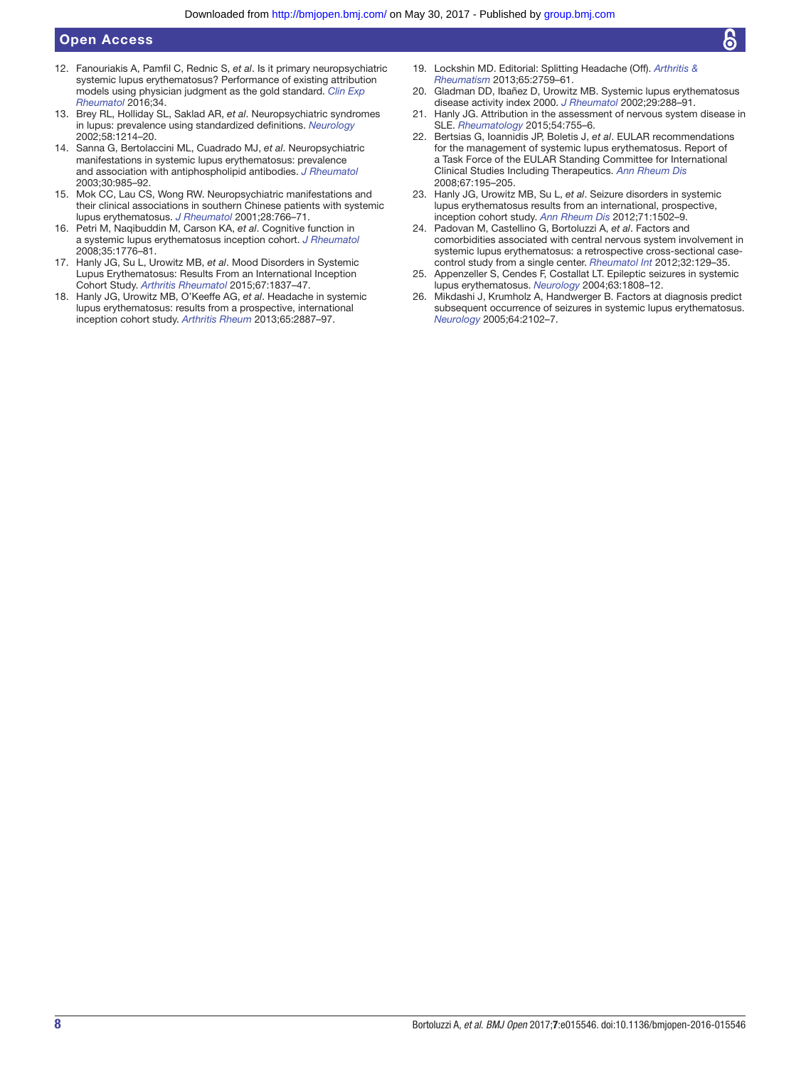- <span id="page-7-0"></span>12. Fanouriakis A, Pamfil C, Rednic S, *et al*. Is it primary neuropsychiatric systemic lupus erythematosus? Performance of existing attribution models using physician judgment as the gold standard. *Clin Exp Rheumatol* 2016;34.
- <span id="page-7-1"></span>13. Brey RL, Holliday SL, Saklad AR, *et al*. Neuropsychiatric syndromes in lupus: prevalence using standardized definitions. *[Neurology](http://dx.doi.org/10.1212/WNL.58.8.1214)* 2002;58:1214–20.
- 14. Sanna G, Bertolaccini ML, Cuadrado MJ, *et al*. Neuropsychiatric manifestations in systemic lupus erythematosus: prevalence and association with antiphospholipid antibodies. *J Rheumatol* 2003;30:985–92.
- 15. Mok CC, Lau CS, Wong RW. Neuropsychiatric manifestations and their clinical associations in southern Chinese patients with systemic lupus erythematosus. *J Rheumatol* 2001;28:766–71.
- 16. Petri M, Naqibuddin M, Carson KA, *et al*. Cognitive function in a systemic lupus erythematosus inception cohort. *J Rheumatol* 2008;35:1776–81.
- <span id="page-7-2"></span>17. Hanly JG, Su L, Urowitz MB, *et al*. Mood Disorders in Systemic Lupus Erythematosus: Results From an International Inception Cohort Study. *[Arthritis Rheumatol](http://dx.doi.org/10.1002/art.39111)* 2015;67:1837–47.
- <span id="page-7-3"></span>18. Hanly JG, Urowitz MB, O'Keeffe AG, *et al*. Headache in systemic lupus erythematosus: results from a prospective, international inception cohort study. *[Arthritis Rheum](http://dx.doi.org/10.1002/art.38106)* 2013;65:2887–97.
- <span id="page-7-5"></span>19. Lockshin MD. Editorial: Splitting Headache (Off). *[Arthritis &](http://dx.doi.org/10.1002/art.38108)  [Rheumatism](http://dx.doi.org/10.1002/art.38108)* 2013;65:2759–61.
- <span id="page-7-4"></span>20. Gladman DD, Ibañez D, Urowitz MB. Systemic lupus erythematosus disease activity index 2000. *J Rheumatol* 2002;29:288–91.
- <span id="page-7-6"></span>21. Hanly JG. Attribution in the assessment of nervous system disease in SLE. *[Rheumatology](http://dx.doi.org/10.1093/rheumatology/keu458)* 2015;54:755–6.
- 22. Bertsias G, Ioannidis JP, Boletis J, *et al*. EULAR recommendations for the management of systemic lupus erythematosus. Report of a Task Force of the EULAR Standing Committee for International Clinical Studies Including Therapeutics. *[Ann Rheum Dis](http://dx.doi.org/10.1136/ard.2007.070367)* 2008;67:195–205.
- 23. Hanly JG, Urowitz MB, Su L, *et al*. Seizure disorders in systemic lupus erythematosus results from an international, prospective, inception cohort study. *[Ann Rheum Dis](http://dx.doi.org/10.1136/annrheumdis-2011-201089)* 2012;71:1502–9.
- 24. Padovan M, Castellino G, Bortoluzzi A, *et al*. Factors and comorbidities associated with central nervous system involvement in systemic lupus erythematosus: a retrospective cross-sectional casecontrol study from a single center. *[Rheumatol Int](http://dx.doi.org/10.1007/s00296-010-1565-4)* 2012;32:129–35.
- 25. Appenzeller S, Cendes F, Costallat LT. Epileptic seizures in systemic lupus erythematosus. *[Neurology](http://dx.doi.org/10.1212/01.WNL.0000144178.32208.4F)* 2004;63:1808–12.
- 26. Mikdashi J, Krumholz A, Handwerger B. Factors at diagnosis predict subsequent occurrence of seizures in systemic lupus erythematosus. *[Neurology](http://dx.doi.org/10.1212/01.WNL.0000165959.98370.D5)* 2005;64:2102–7.